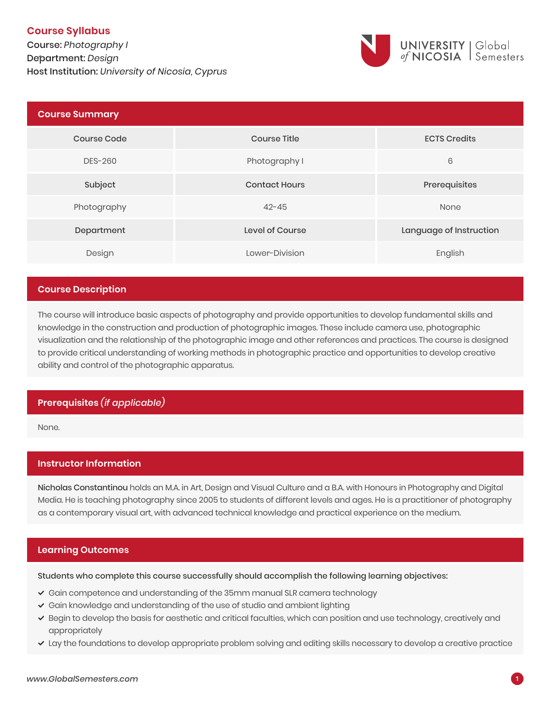# **Course Syllabus**

Course: *Photography I* Department: *Design* **1**Host Institution: *University of Nicosia, Cyprus*



| <b>Course Summary</b> |                      |                         |
|-----------------------|----------------------|-------------------------|
| <b>Course Code</b>    | <b>Course Title</b>  | <b>ECTS Credits</b>     |
| DES-260               | Photography I        | 6                       |
| Subject               | <b>Contact Hours</b> | Prerequisites           |
| Photography           | $42 - 45$            | None                    |
| Department            | Level of Course      | Language of Instruction |
| Design                | Lower-Division       | English                 |

## **Course Description**

The course will introduce basic aspects of photography and provide opportunities to develop fundamental skills and knowledge in the construction and production of photographic images. These include camera use, photographic visualization and the relationship of the photographic image and other references and practices. The course is designed to provide critical understanding of working methods in photographic practice and opportunities to develop creative ability and control of the photographic apparatus.

# **Prerequisites** *(if applicable)*

None.

# **Instructor Information**

Nicholas Constantinou holds an M.A. in Art, Design and Visual Culture and a B.A. with Honours in Photography and Digital Media. He is teaching photography since 2005 to students of different levels and ages. He is a practitioner of photography as a contemporary visual art, with advanced technical knowledge and practical experience on the medium.

# **Learning Outcomes**

Students who complete this course successfully should accomplish the following learning objectives:

- $\checkmark$  Gain competence and understanding of the 35mm manual SLR camera technology
- Gain knowledge and understanding of the use of studio and ambient lighting
- Begin to develop the basis for aesthetic and critical faculties, which can position and use technology, creatively and appropriately
- Lay the foundations to develop appropriate problem solving and editing skills necessary to develop a creative practice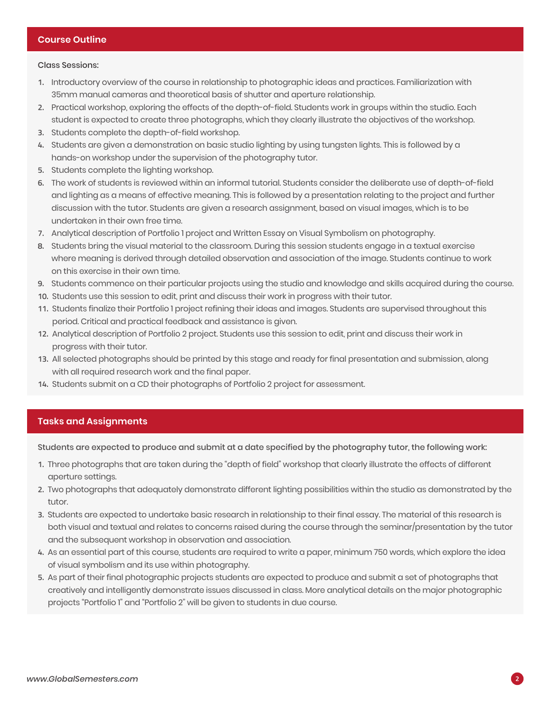#### Class Sessions:

- **1.** Introductory overview of the course in relationship to photographic ideas and practices. Familiarization with 35mm manual cameras and theoretical basis of shutter and aperture relationship.
- **2.** Practical workshop, exploring the effects of the depth-of-field. Students work in groups within the studio. Each student is expected to create three photographs, which they clearly illustrate the objectives of the workshop.
- **3.** Students complete the depth-of-field workshop.
- **4.** Students are given a demonstration on basic studio lighting by using tungsten lights. This is followed by a hands-on workshop under the supervision of the photography tutor.
- **5.** Students complete the lighting workshop.
- **6.** The work of students is reviewed within an informal tutorial. Students consider the deliberate use of depth-of-field and lighting as a means of effective meaning. This is followed by a presentation relating to the project and further discussion with the tutor. Students are given a research assignment, based on visual images, which is to be undertaken in their own free time.
- **7.** Analytical description of Portfolio 1 project and Written Essay on Visual Symbolism on photography.
- **8.** Students bring the visual material to the classroom. During this session students engage in a textual exercise where meaning is derived through detailed observation and association of the image. Students continue to work on this exercise in their own time.
- **9.** Students commence on their particular projects using the studio and knowledge and skills acquired during the course.
- **10.** Students use this session to edit, print and discuss their work in progress with their tutor.
- **11.** Students finalize their Portfolio 1 project refining their ideas and images. Students are supervised throughout this period. Critical and practical feedback and assistance is given.
- **12.** Analytical description of Portfolio 2 project. Students use this session to edit, print and discuss their work in progress with their tutor.
- **13.** All selected photographs should be printed by this stage and ready for final presentation and submission, along with all required research work and the final paper.
- **14.** Students submit on a CD their photographs of Portfolio 2 project for assessment.

# **Tasks and Assignments**

Students are expected to produce and submit at a date specified by the photography tutor, the following work:

- **1.** Three photographs that are taken during the "depth of field" workshop that clearly illustrate the effects of different aperture settings.
- **2.** Two photographs that adequately demonstrate different lighting possibilities within the studio as demonstrated by the tutor.
- **3.** Students are expected to undertake basic research in relationship to their final essay. The material of this research is both visual and textual and relates to concerns raised during the course through the seminar/presentation by the tutor and the subsequent workshop in observation and association.
- **4.** As an essential part of this course, students are required to write a paper, minimum 750 words, which explore the idea of visual symbolism and its use within photography.
- **5.** As part of their final photographic projects students are expected to produce and submit a set of photographs that creatively and intelligently demonstrate issues discussed in class. More analytical details on the major photographic projects "Portfolio 1" and "Portfolio 2" will be given to students in due course.